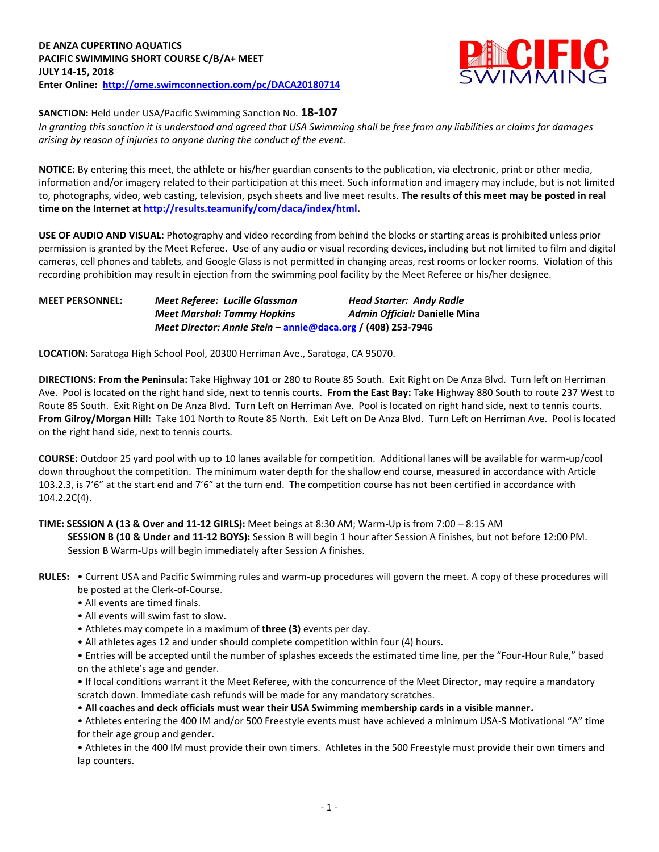

**SANCTION:** Held under USA/Pacific Swimming Sanction No. **18-107**

*In granting this sanction it is understood and agreed that USA Swimming shall be free from any liabilities or claims for damages arising by reason of injuries to anyone during the conduct of the event.*

**NOTICE:** By entering this meet, the athlete or his/her guardian consents to the publication, via electronic, print or other media, information and/or imagery related to their participation at this meet. Such information and imagery may include, but is not limited to, photographs, video, web casting, television, psych sheets and live meet results. **The results of this meet may be posted in real time on the Internet a[t http://results.teamunify/com/daca/index/html.](http://results.teamunify/com/daca/index/html)** 

**USE OF AUDIO AND VISUAL:** Photography and video recording from behind the blocks or starting areas is prohibited unless prior permission is granted by the Meet Referee. Use of any audio or visual recording devices, including but not limited to film and digital cameras, cell phones and tablets, and Google Glass is not permitted in changing areas, rest rooms or locker rooms. Violation of this recording prohibition may result in ejection from the swimming pool facility by the Meet Referee or his/her designee.

| <b>MEET PERSONNEL:</b> | Meet Referee: Lucille Glassman                               | <b>Head Starter: Andy Radle</b> |  |  |  |  |
|------------------------|--------------------------------------------------------------|---------------------------------|--|--|--|--|
|                        | <b>Meet Marshal: Tammy Hopkins</b>                           | Admin Official: Danielle Mina   |  |  |  |  |
|                        | Meet Director: Annie Stein – annie@daca.org / (408) 253-7946 |                                 |  |  |  |  |

**LOCATION:** Saratoga High School Pool, 20300 Herriman Ave., Saratoga, CA 95070.

**DIRECTIONS: From the Peninsula:** Take Highway 101 or 280 to Route 85 South. Exit Right on De Anza Blvd. Turn left on Herriman Ave. Pool is located on the right hand side, next to tennis courts. **From the East Bay:** Take Highway 880 South to route 237 West to Route 85 South. Exit Right on De Anza Blvd. Turn Left on Herriman Ave. Pool is located on right hand side, next to tennis courts. **From Gilroy/Morgan Hill:** Take 101 North to Route 85 North. Exit Left on De Anza Blvd. Turn Left on Herriman Ave. Pool is located on the right hand side, next to tennis courts.

**COURSE:** Outdoor 25 yard pool with up to 10 lanes available for competition. Additional lanes will be available for warm-up/cool down throughout the competition. The minimum water depth for the shallow end course, measured in accordance with Article 103.2.3, is 7'6" at the start end and 7'6" at the turn end. The competition course has not been certified in accordance with 104.2.2C(4).

## **TIME: SESSION A (13 & Over and 11-12 GIRLS):** Meet beings at 8:30 AM; Warm-Up is from 7:00 – 8:15 AM **SESSION B (10 & Under and 11-12 BOYS):** Session B will begin 1 hour after Session A finishes, but not before 12:00 PM. Session B Warm-Ups will begin immediately after Session A finishes.

- **RULES:** Current USA and Pacific Swimming rules and warm-up procedures will govern the meet. A copy of these procedures will be posted at the Clerk-of-Course.
	- All events are timed finals.
	- All events will swim fast to slow.
	- Athletes may compete in a maximum of **three (3)** events per day.
	- All athletes ages 12 and under should complete competition within four (4) hours.

• Entries will be accepted until the number of splashes exceeds the estimated time line, per the "Four-Hour Rule," based on the athlete's age and gender.

• If local conditions warrant it the Meet Referee, with the concurrence of the Meet Director, may require a mandatory scratch down. Immediate cash refunds will be made for any mandatory scratches.

• **All coaches and deck officials must wear their USA Swimming membership cards in a visible manner.** 

• Athletes entering the 400 IM and/or 500 Freestyle events must have achieved a minimum USA-S Motivational "A" time for their age group and gender.

• Athletes in the 400 IM must provide their own timers. Athletes in the 500 Freestyle must provide their own timers and lap counters.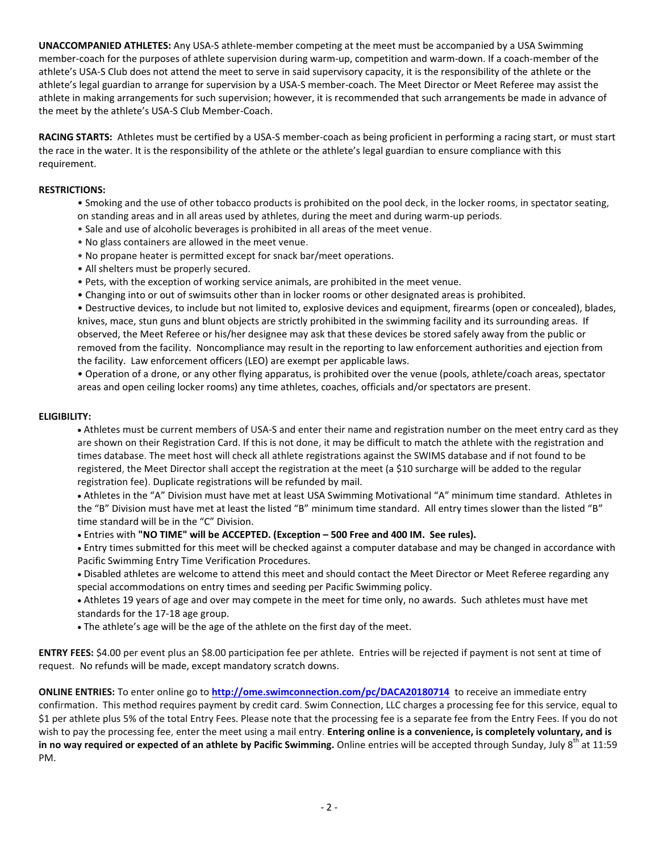**UNACCOMPANIED ATHLETES:** Any USA-S athlete-member competing at the meet must be accompanied by a USA Swimming member-coach for the purposes of athlete supervision during warm-up, competition and warm-down. If a coach-member of the athlete's USA-S Club does not attend the meet to serve in said supervisory capacity, it is the responsibility of the athlete or the athlete's legal guardian to arrange for supervision by a USA-S member-coach. The Meet Director or Meet Referee may assist the athlete in making arrangements for such supervision; however, it is recommended that such arrangements be made in advance of the meet by the athlete's USA-S Club Member-Coach.

**RACING STARTS:** Athletes must be certified by a USA-S member-coach as being proficient in performing a racing start, or must start the race in the water. It is the responsibility of the athlete or the athlete's legal guardian to ensure compliance with this requirement.

### **RESTRICTIONS:**

- Smoking and the use of other tobacco products is prohibited on the pool deck, in the locker rooms, in spectator seating, on standing areas and in all areas used by athletes, during the meet and during warm-up periods.
- Sale and use of alcoholic beverages is prohibited in all areas of the meet venue.
- No glass containers are allowed in the meet venue.
- No propane heater is permitted except for snack bar/meet operations.
- All shelters must be properly secured.
- Pets, with the exception of working service animals, are prohibited in the meet venue.
- Changing into or out of swimsuits other than in locker rooms or other designated areas is prohibited.

• Destructive devices, to include but not limited to, explosive devices and equipment, firearms (open or concealed), blades, knives, mace, stun guns and blunt objects are strictly prohibited in the swimming facility and its surrounding areas. If observed, the Meet Referee or his/her designee may ask that these devices be stored safely away from the public or removed from the facility. Noncompliance may result in the reporting to law enforcement authorities and ejection from the facility. Law enforcement officers (LEO) are exempt per applicable laws.

• Operation of a drone, or any other flying apparatus, is prohibited over the venue (pools, athlete/coach areas, spectator areas and open ceiling locker rooms) any time athletes, coaches, officials and/or spectators are present.

#### **ELIGIBILITY:**

 Athletes must be current members of USA-S and enter their name and registration number on the meet entry card as they are shown on their Registration Card. If this is not done, it may be difficult to match the athlete with the registration and times database. The meet host will check all athlete registrations against the SWIMS database and if not found to be registered, the Meet Director shall accept the registration at the meet (a \$10 surcharge will be added to the regular registration fee). Duplicate registrations will be refunded by mail.

 Athletes in the "A" Division must have met at least USA Swimming Motivational "A" minimum time standard. Athletes in the "B" Division must have met at least the listed "B" minimum time standard. All entry times slower than the listed "B" time standard will be in the "C" Division.

Entries with **"NO TIME" will be ACCEPTED. (Exception – 500 Free and 400 IM. See rules).**

 Entry times submitted for this meet will be checked against a computer database and may be changed in accordance with Pacific Swimming Entry Time Verification Procedures.

- Disabled athletes are welcome to attend this meet and should contact the Meet Director or Meet Referee regarding any special accommodations on entry times and seeding per Pacific Swimming policy.
- Athletes 19 years of age and over may compete in the meet for time only, no awards. Such athletes must have met standards for the 17-18 age group.
- The athlete's age will be the age of the athlete on the first day of the meet.

**ENTRY FEES:** \$4.00 per event plus an \$8.00 participation fee per athlete. Entries will be rejected if payment is not sent at time of request. No refunds will be made, except mandatory scratch downs.

**ONLINE ENTRIES:** To enter online go to **<http://ome.swimconnection.com/pc/DACA20180714>**to receive an immediate entry confirmation. This method requires payment by credit card. Swim Connection, LLC charges a processing fee for this service, equal to \$1 per athlete plus 5% of the total Entry Fees. Please note that the processing fee is a separate fee from the Entry Fees. If you do not wish to pay the processing fee, enter the meet using a mail entry. **Entering online is a convenience, is completely voluntary, and is in no way required or expected of an athlete by Pacific Swimming.** Online entries will be accepted through Sunday, July 8<sup>th</sup> at 11:59 PM.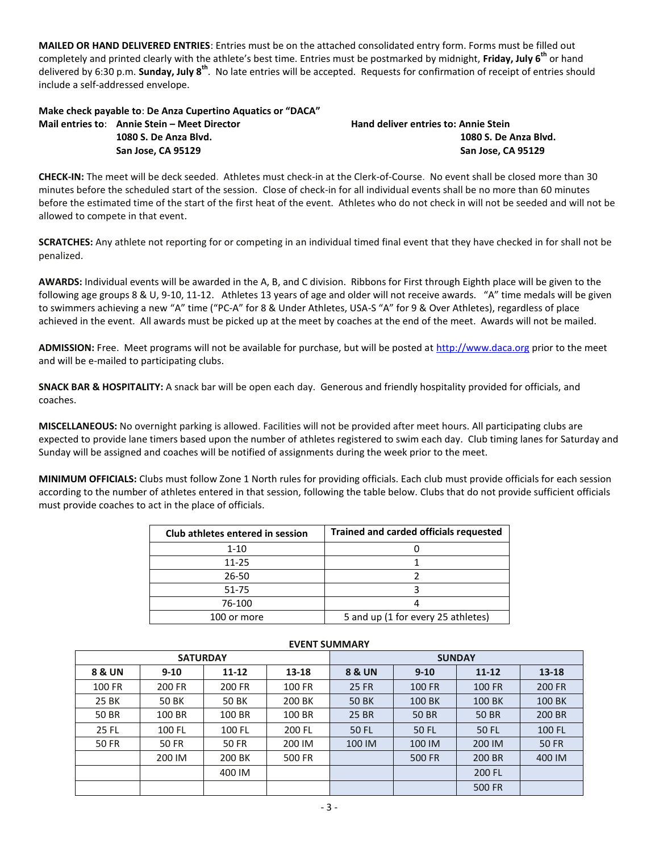**MAILED OR HAND DELIVERED ENTRIES**: Entries must be on the attached consolidated entry form. Forms must be filled out completely and printed clearly with the athlete's best time. Entries must be postmarked by midnight, **Friday, July 6 th** or hand delivered by 6:30 p.m. **Sunday, July 8<sup>th</sup>.** No late entries will be accepted. Requests for confirmation of receipt of entries should include a self-addressed envelope.

# **Make check payable to**: **De Anza Cupertino Aquatics or "DACA"**

**Mail entries to: Annie Stein – Meet Director Hand deliver entries to: Annie Stein** 

**1080 S. De Anza Blvd. 1080 S. De Anza Blvd. San Jose, CA 95129 San Jose, CA 95129**

**CHECK-IN:** The meet will be deck seeded. Athletes must check-in at the Clerk-of-Course. No event shall be closed more than 30 minutes before the scheduled start of the session. Close of check-in for all individual events shall be no more than 60 minutes before the estimated time of the start of the first heat of the event. Athletes who do not check in will not be seeded and will not be allowed to compete in that event.

**SCRATCHES:** Any athlete not reporting for or competing in an individual timed final event that they have checked in for shall not be penalized.

**AWARDS:** Individual events will be awarded in the A, B, and C division. Ribbons for First through Eighth place will be given to the following age groups 8 & U, 9-10, 11-12. Athletes 13 years of age and older will not receive awards. "A" time medals will be given to swimmers achieving a new "A" time ("PC-A" for 8 & Under Athletes, USA-S "A" for 9 & Over Athletes), regardless of place achieved in the event. All awards must be picked up at the meet by coaches at the end of the meet. Awards will not be mailed.

**ADMISSION:** Free. Meet programs will not be available for purchase, but will be posted at [http://www.daca.org](http://www.daca.org/) prior to the meet and will be e-mailed to participating clubs.

**SNACK BAR & HOSPITALITY:** A snack bar will be open each day. Generous and friendly hospitality provided for officials, and coaches.

**MISCELLANEOUS:** No overnight parking is allowed. Facilities will not be provided after meet hours. All participating clubs are expected to provide lane timers based upon the number of athletes registered to swim each day. Club timing lanes for Saturday and Sunday will be assigned and coaches will be notified of assignments during the week prior to the meet.

**MINIMUM OFFICIALS:** Clubs must follow Zone 1 North rules for providing officials. Each club must provide officials for each session according to the number of athletes entered in that session, following the table below. Clubs that do not provide sufficient officials must provide coaches to act in the place of officials.

| Club athletes entered in session | <b>Trained and carded officials requested</b> |  |  |  |  |  |
|----------------------------------|-----------------------------------------------|--|--|--|--|--|
| $1 - 10$                         |                                               |  |  |  |  |  |
| $11 - 25$                        |                                               |  |  |  |  |  |
| 26-50                            |                                               |  |  |  |  |  |
| 51-75                            |                                               |  |  |  |  |  |
| 76-100                           |                                               |  |  |  |  |  |
| 100 or more                      | 5 and up (1 for every 25 athletes)            |  |  |  |  |  |

|              | <b>SATURDAY</b> |              |        | <b>SUNDAY</b>     |          |               |               |  |  |
|--------------|-----------------|--------------|--------|-------------------|----------|---------------|---------------|--|--|
| 8 & UN       | $9 - 10$        | 11-12        | 13-18  | <b>8 &amp; UN</b> | $9 - 10$ | $11 - 12$     | 13-18         |  |  |
| 100 FR       | 200 FR          | 200 FR       | 100 FR | 25 FR             | 100 FR   | <b>100 FR</b> | <b>200 FR</b> |  |  |
| 25 BK        | 50 BK           | 50 BK        | 200 BK | 50 BK             | 100 BK   | 100 BK        | 100 BK        |  |  |
| 50 BR        | 100 BR          | 100 BR       | 100 BR | 25 BR             | 50 BR    | <b>50 BR</b>  | 200 BR        |  |  |
| 25 FL        | 100 FL          | 100 FL       | 200 FL | 50 FL             | 50 FL    | 50 FL         | 100 FL        |  |  |
| <b>50 FR</b> | <b>50 FR</b>    | <b>50 FR</b> | 200 IM | 100 IM            | 100 IM   | 200 IM        | 50 FR         |  |  |
|              | 200 IM          | 200 BK       | 500 FR |                   | 500 FR   | 200 BR        | 400 IM        |  |  |
|              |                 | 400 IM       |        |                   |          | 200 FL        |               |  |  |
|              |                 |              |        |                   |          | <b>500 FR</b> |               |  |  |

## **EVENT SUMMARY**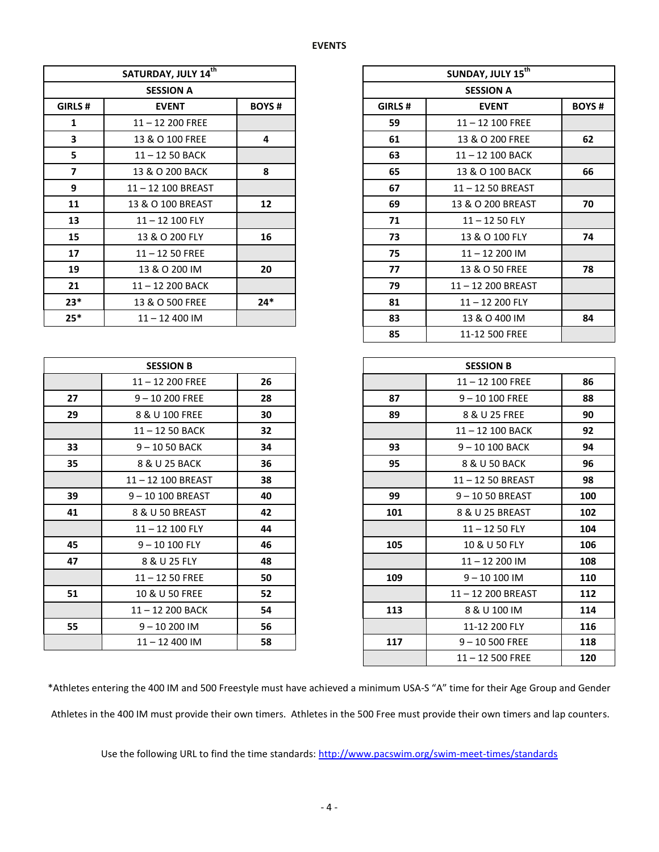|                         | SATURDAY, JULY 14th |              |        | SUNDAY, JULY 15 <sup>th</sup> |              |
|-------------------------|---------------------|--------------|--------|-------------------------------|--------------|
|                         | <b>SESSION A</b>    |              |        |                               |              |
| GIRLS#                  | <b>EVENT</b>        | <b>BOYS#</b> | GIRLS# | <b>EVENT</b>                  | <b>BOYS#</b> |
| 1                       | 11-12 200 FREE      |              | 59     | $11 - 12$ 100 FREE            |              |
| 3                       | 13 & O 100 FREE     | 4            | 61     | 13 & O 200 FREE               | 62           |
| 5                       | 11-12 50 BACK       |              | 63     | 11-12 100 BACK                |              |
| $\overline{\mathbf{z}}$ | 13 & O 200 BACK     | 8            | 65     | 13 & O 100 BACK               | 66           |
| 9                       | 11-12 100 BREAST    |              | 67     | 11-12 50 BREAST               |              |
| 11                      | 13 & O 100 BREAST   | 12           | 69     | 13 & O 200 BREAST             | 70           |
| 13                      | 11-12 100 FLY       |              | 71     | $11 - 1250$ FLY               |              |
| 15                      | 13 & O 200 FLY      | 16           | 73     | 13 & O 100 FLY                | 74           |
| 17                      | $11 - 1250$ FREE    |              | 75     | $11 - 12200$ IM               |              |
| 19                      | 13 & O 200 IM       | 20           | 77     | 13 & O 50 FREE                | 78           |
| 21                      | 11-12 200 BACK      |              | 79     | 11-12 200 BREAST              |              |
| $23*$                   | 13 & O 500 FREE     | $24*$        | 81     | 11-12 200 FLY                 |              |
| $25*$                   | $11 - 12400$ IM     |              | 83     | 13 & O 400 IM                 | 84           |
|                         | <b>SESSION B</b>    |              |        | <b>SESSION B</b>              |              |
|                         |                     |              |        |                               |              |
|                         | $11 - 12200$ FREE   | 26           |        | $11 - 12$ 100 FREE            | 86           |
| 27                      | $9 - 10200$ FREE    | 28           | 87     | $9 - 10100$ FREE              | 88           |
| 29                      | 8 & U 100 FREE      | 30           | 89     | 8 & U 25 FREE                 | 90           |
|                         | 11-12 50 BACK       | 32           |        | 11-12 100 BACK                | 92           |
| 33                      | $9 - 1050$ BACK     | 34           | 93     | 9-10 100 BACK                 | 94           |
| 35                      | 8 & U 25 BACK       | 36           | 95     | 8 & U 50 BACK                 | 96           |
|                         | 11-12 100 BREAST    | 38           |        | 11-12 50 BREAST               | 98           |
| 39                      | 9-10 100 BREAST     | 40           | 99     | 9-1050 BREAST                 | 100          |
| 41                      | 8 & U 50 BREAST     | 42           | 101    | 8 & U 25 BREAST               | 102          |
|                         | $11 - 12$ 100 FLY   | 44           |        | $11 - 1250$ FLY               | 104          |
| 45                      | $9 - 10100$ FLY     | 46           | 105    | 10 & U 50 FLY                 | 106          |
| 47                      | 8 & U 25 FLY        | 48           |        | $11 - 12200$ IM               | 108          |
|                         | $11 - 1250$ FREE    | 50           | 109    | $9 - 10100$ IM                | 110          |
| 51                      | 10 & U 50 FREE      | 52           |        | 11-12 200 BREAST              | 112          |
|                         | 11-12 200 BACK      | 54           | 113    | 8 & U 100 IM                  | 114          |
| 55                      | $9 - 10200$ IM      | 56           |        | 11-12 200 FLY                 | 116          |
|                         |                     |              |        |                               |              |

\*Athletes entering the 400 IM and 500 Freestyle must have achieved a minimum USA-S "A" time for their Age Group and Gender Athletes in the 400 IM must provide their own timers. Athletes in the 500 Free must provide their own timers and lap counters.

– 12 500 FREE **120**

Use the following URL to find the time standards: <http://www.pacswim.org/swim-meet-times/standards>